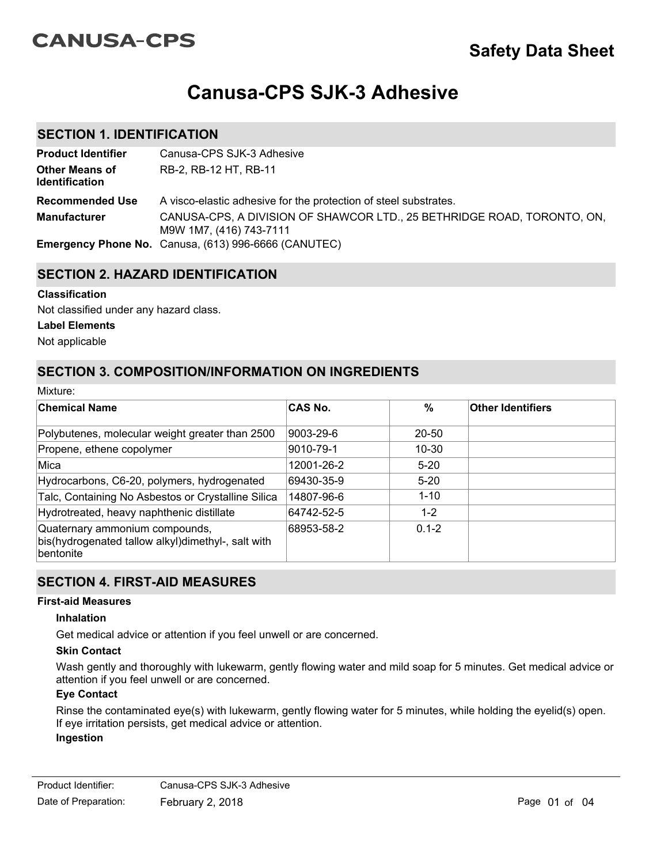# **CANUSA-CPS**

# **Canusa-CPS SJK-3 Adhesive**

### **SECTION 1. IDENTIFICATION**

| <b>Product Identifier</b>               | Canusa-CPS SJK-3 Adhesive                                                                          |
|-----------------------------------------|----------------------------------------------------------------------------------------------------|
| <b>Other Means of</b><br>Identification | RB-2, RB-12 HT, RB-11                                                                              |
| <b>Recommended Use</b>                  | A visco-elastic adhesive for the protection of steel substrates.                                   |
| <b>Manufacturer</b>                     | CANUSA-CPS, A DIVISION OF SHAWCOR LTD., 25 BETHRIDGE ROAD, TORONTO, ON,<br>M9W 1M7, (416) 743-7111 |
|                                         | <b>Emergency Phone No.</b> Canusa, (613) 996-6666 (CANUTEC)                                        |

### **SECTION 2. HAZARD IDENTIFICATION**

#### **Classification**

Not classified under any hazard class.

#### **Label Elements**

Not applicable

Mixture:

### **SECTION 3. COMPOSITION/INFORMATION ON INGREDIENTS**

| iviixture.                                                                                               |                |           |                          |  |
|----------------------------------------------------------------------------------------------------------|----------------|-----------|--------------------------|--|
| <b>Chemical Name</b>                                                                                     | <b>CAS No.</b> | %         | <b>Other Identifiers</b> |  |
| Polybutenes, molecular weight greater than 2500                                                          | 9003-29-6      | $20 - 50$ |                          |  |
| Propene, ethene copolymer                                                                                | 9010-79-1      | 10-30     |                          |  |
| Mica                                                                                                     | 12001-26-2     | $5-20$    |                          |  |
| Hydrocarbons, C6-20, polymers, hydrogenated                                                              | 69430-35-9     | $5 - 20$  |                          |  |
| Talc, Containing No Asbestos or Crystalline Silica                                                       | 14807-96-6     | $1 - 10$  |                          |  |
| Hydrotreated, heavy naphthenic distillate                                                                | 64742-52-5     | $1 - 2$   |                          |  |
| Quaternary ammonium compounds,<br>bis(hydrogenated tallow alkyl)dimethyl-, salt with<br><b>bentonite</b> | 68953-58-2     | $0.1 - 2$ |                          |  |

### **SECTION 4. FIRST-AID MEASURES**

#### **First-aid Measures**

#### **Inhalation**

Get medical advice or attention if you feel unwell or are concerned.

#### **Skin Contact**

Wash gently and thoroughly with lukewarm, gently flowing water and mild soap for 5 minutes. Get medical advice or attention if you feel unwell or are concerned.

#### **Eye Contact**

Rinse the contaminated eye(s) with lukewarm, gently flowing water for 5 minutes, while holding the eyelid(s) open. If eye irritation persists, get medical advice or attention. **Ingestion**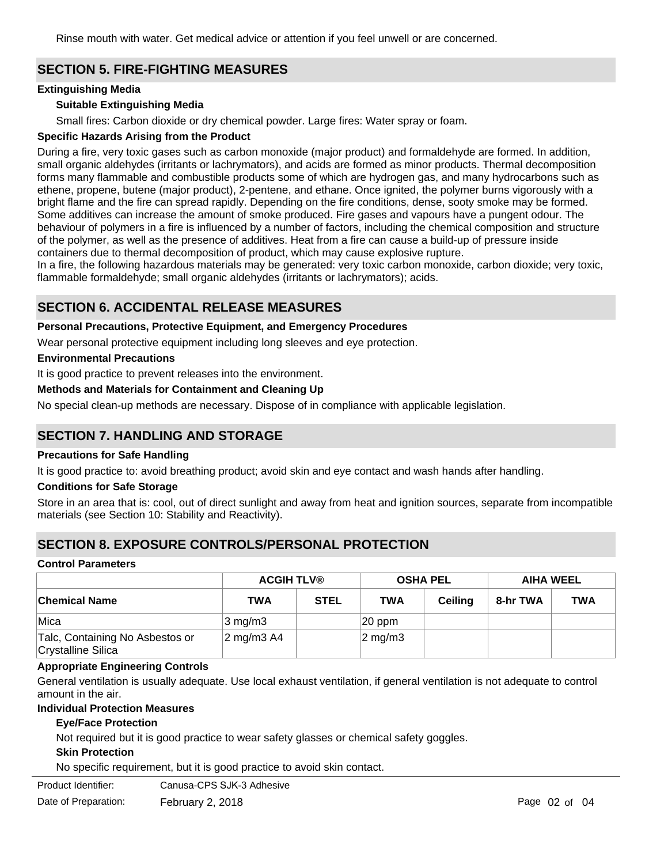Rinse mouth with water. Get medical advice or attention if you feel unwell or are concerned.

## **SECTION 5. FIRE-FIGHTING MEASURES**

#### **Extinguishing Media**

#### **Suitable Extinguishing Media**

Small fires: Carbon dioxide or dry chemical powder. Large fires: Water spray or foam.

#### **Specific Hazards Arising from the Product**

During a fire, very toxic gases such as carbon monoxide (major product) and formaldehyde are formed. In addition, small organic aldehydes (irritants or lachrymators), and acids are formed as minor products. Thermal decomposition forms many flammable and combustible products some of which are hydrogen gas, and many hydrocarbons such as ethene, propene, butene (major product), 2-pentene, and ethane. Once ignited, the polymer burns vigorously with a bright flame and the fire can spread rapidly. Depending on the fire conditions, dense, sooty smoke may be formed. Some additives can increase the amount of smoke produced. Fire gases and vapours have a pungent odour. The behaviour of polymers in a fire is influenced by a number of factors, including the chemical composition and structure of the polymer, as well as the presence of additives. Heat from a fire can cause a build-up of pressure inside containers due to thermal decomposition of product, which may cause explosive rupture.

In a fire, the following hazardous materials may be generated: very toxic carbon monoxide, carbon dioxide; very toxic, flammable formaldehyde; small organic aldehydes (irritants or lachrymators); acids.

### **SECTION 6. ACCIDENTAL RELEASE MEASURES**

#### **Personal Precautions, Protective Equipment, and Emergency Procedures**

Wear personal protective equipment including long sleeves and eye protection.

#### **Environmental Precautions**

It is good practice to prevent releases into the environment.

#### **Methods and Materials for Containment and Cleaning Up**

No special clean-up methods are necessary. Dispose of in compliance with applicable legislation.

### **SECTION 7. HANDLING AND STORAGE**

#### **Precautions for Safe Handling**

It is good practice to: avoid breathing product; avoid skin and eye contact and wash hands after handling.

#### **Conditions for Safe Storage**

Store in an area that is: cool, out of direct sunlight and away from heat and ignition sources, separate from incompatible materials (see Section 10: Stability and Reactivity).

### **SECTION 8. EXPOSURE CONTROLS/PERSONAL PROTECTION**

#### **Control Parameters**

|                                                              | <b>ACGIH TLV®</b>   |             |                  | <b>OSHA PEL</b> |          | <b>AIHA WEEL</b> |
|--------------------------------------------------------------|---------------------|-------------|------------------|-----------------|----------|------------------|
| <b>Chemical Name</b>                                         | TWA                 | <b>STEL</b> | <b>TWA</b>       | <b>Ceiling</b>  | 8-hr TWA | TWA              |
| Mica                                                         | $3 \text{ mg/m}$    |             | $ 20$ ppm        |                 |          |                  |
| Talc, Containing No Asbestos or<br><b>Crystalline Silica</b> | $\sqrt{2}$ mg/m3 A4 |             | $\sqrt{2}$ mg/m3 |                 |          |                  |

#### **Appropriate Engineering Controls**

General ventilation is usually adequate. Use local exhaust ventilation, if general ventilation is not adequate to control amount in the air.

#### **Individual Protection Measures**

#### **Eye/Face Protection**

Not required but it is good practice to wear safety glasses or chemical safety goggles.

#### **Skin Protection**

No specific requirement, but it is good practice to avoid skin contact.

Product Identifier: Canusa-CPS SJK-3 Adhesive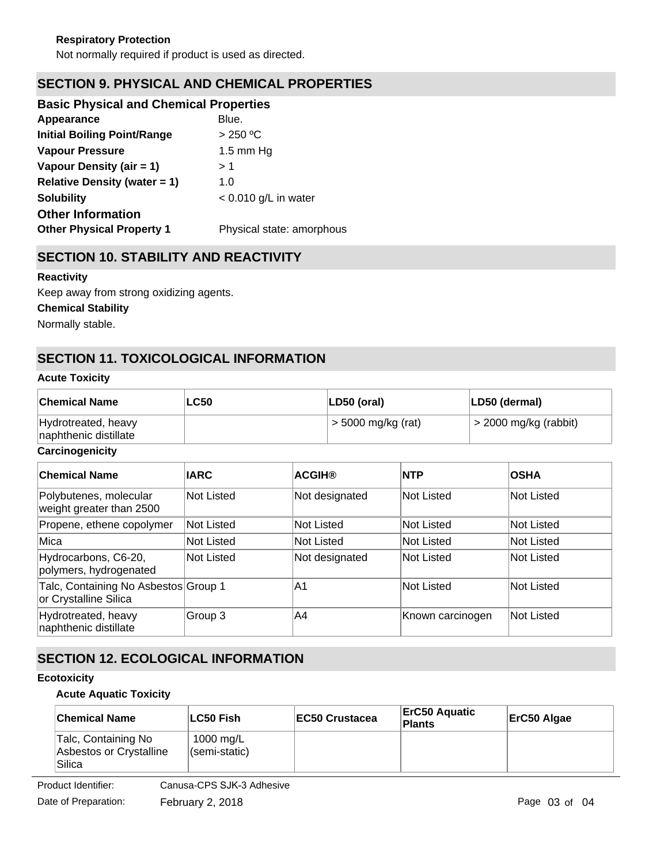# **SECTION 9. PHYSICAL AND CHEMICAL PROPERTIES**

| <b>Basic Physical and Chemical Properties</b> |                           |
|-----------------------------------------------|---------------------------|
| Appearance                                    | Blue.                     |
| <b>Initial Boiling Point/Range</b>            | > 250 °C                  |
| <b>Vapour Pressure</b>                        | 1.5 mm $Hg$               |
| Vapour Density (air = 1)                      | > 1                       |
| <b>Relative Density (water = 1)</b>           | 1.0                       |
| <b>Solubility</b>                             | $< 0.010$ g/L in water    |
| <b>Other Information</b>                      |                           |
| <b>Other Physical Property 1</b>              | Physical state: amorphous |
|                                               |                           |

## **SECTION 10. STABILITY AND REACTIVITY**

#### **Reactivity**

Keep away from strong oxidizing agents.

**Chemical Stability**

Normally stable.

# **SECTION 11. TOXICOLOGICAL INFORMATION**

#### **Acute Toxicity**

| <b>Chemical Name</b>                         | <b>LC50</b> | LD50 (oral)        | LD50 (dermal)           |
|----------------------------------------------|-------------|--------------------|-------------------------|
| Hydrotreated, heavy<br>naphthenic distillate |             | > 5000 mg/kg (rat) | $>$ 2000 mg/kg (rabbit) |

#### **Carcinogenicity**

| <b>Chemical Name</b>                                          | <b>IARC</b>       | <b>ACGIH®</b>  | <b>NTP</b>        | <b>OSHA</b>       |
|---------------------------------------------------------------|-------------------|----------------|-------------------|-------------------|
| Polybutenes, molecular<br>weight greater than 2500            | <b>Not Listed</b> | Not designated | <b>Not Listed</b> | <b>Not Listed</b> |
| Propene, ethene copolymer                                     | <b>Not Listed</b> | Not Listed     | <b>Not Listed</b> | <b>Not Listed</b> |
| Mica                                                          | <b>Not Listed</b> | Not Listed     | <b>Not Listed</b> | Not Listed        |
| Hydrocarbons, C6-20,<br>polymers, hydrogenated                | <b>Not Listed</b> | Not designated | <b>Not Listed</b> | Not Listed        |
| Talc, Containing No Asbestos Group 1<br>or Crystalline Silica |                   | A1             | <b>Not Listed</b> | Not Listed        |
| Hydrotreated, heavy<br>naphthenic distillate                  | Group 3           | A4             | Known carcinogen  | Not Listed        |

# **SECTION 12. ECOLOGICAL INFORMATION**

#### **Ecotoxicity**

#### **Acute Aquatic Toxicity**

| <b>Chemical Name</b>                                     | ∣LC50 Fish                 | EC50 Crustacea | ∣ErC50 Aquatic<br>Plants | ErC50 Algae |
|----------------------------------------------------------|----------------------------|----------------|--------------------------|-------------|
| Talc, Containing No<br>Asbestos or Crystalline<br>Silica | 1000 mg/L<br>(semi-static) |                |                          |             |

Product Identifier: Canusa-CPS SJK-3 Adhesive